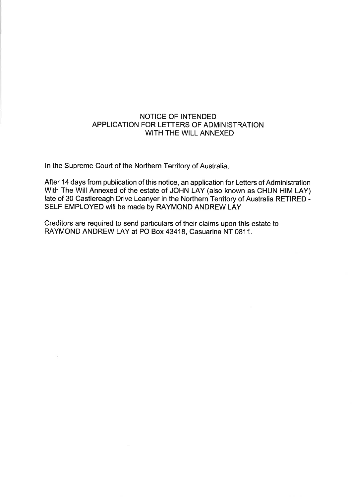## NOTICE OF INTENDED APPLICATION FOR LETTERS OF ADMINISTRATION WITH THE WILL ANNEXED

ln the Supreme Court of the Northern Territory of Australia

After 14 days from publication of this notice, an application for Letters of Administration With The Will Annexed of the estate of JOHN LAY (also known as CHUN HIM LAY) late of 30 Castlereagh Drive Leanyer in the Northern Territory of Australia RETIRED -SELF EMPLOYED will be made by RAYMOND ANDREW LAY

Creditors are required to send particulars of their claims upon this estate to RAYMOND ANDREW LAY at PO Box 43418, Casuarina NT 0811.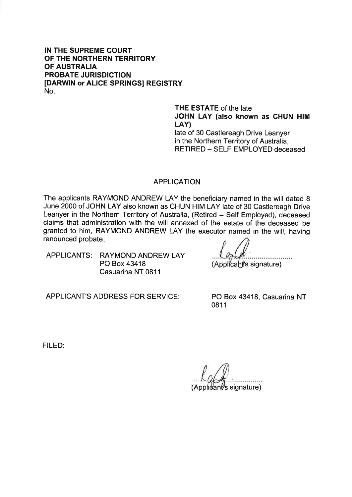### IN THE SUPREME COURT OF THE NORTHERN TERRITORY OF AUSTRALIA PROBATE JURISDICTION [DARWIN or ALICE SPRINGS] REGISTRY No.

THE ESTATE of the late JOHN LAY (also known as GHUN HIM LAY) late of 30 Castlereagh Drive Leanyer in the Northern Territory of Australia, RETIRED - SELF EMPLOYED deceased

#### APPLICATION

The applicants RAYMOND ANDREW LAY the beneficiary named in the will dated 8 June 2000 of JOHN LAY also known as CHUN HIM LAY late of 30 Castlereagh Drive Leanyer in the Northern Territory of Australia, (Retired - Self Employed), deceased claims that administration with the will annexed of the estate of the deceased be granted to him, RAYMOND ANDREW LAY the executor named in the will, having renounced probate

APPLICANTS: RAYMOND ANDREW LAY PO Box 43418 Casuarina NT 0811

(Applicant's signature)

APPLICANT'S ADDRESS FOR SERVICE: PO Box 43418, Casuarina NT

0811

FILED:

 $(A$ pplidant's signature)